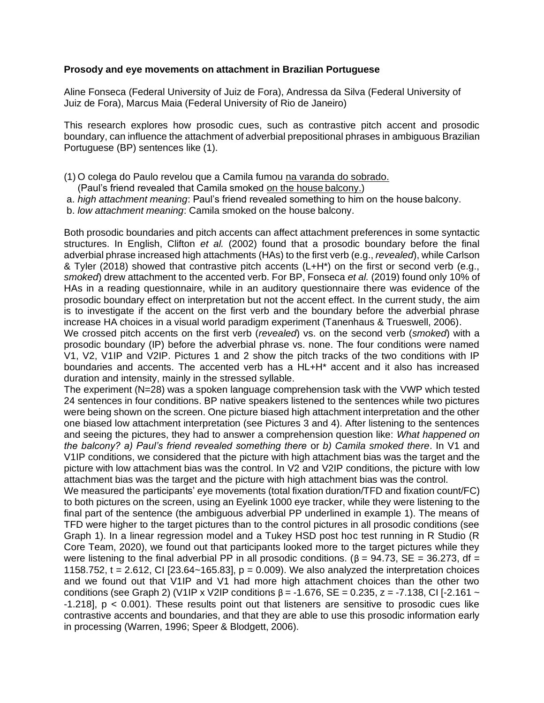## **Prosody and eye movements on attachment in Brazilian Portuguese**

Aline Fonseca (Federal University of Juiz de Fora), Andressa da Silva (Federal University of Juiz de Fora), Marcus Maia (Federal University of Rio de Janeiro)

This research explores how prosodic cues, such as contrastive pitch accent and prosodic boundary, can influence the attachment of adverbial prepositional phrases in ambiguous Brazilian Portuguese (BP) sentences like (1).

- (1) O colega do Paulo revelou que a Camila fumou na varanda do sobrado.
	- (Paul's friend revealed that Camila smoked on the house balcony.)
- a. *high attachment meaning*: Paul's friend revealed something to him on the house balcony.
- b. *low attachment meaning*: Camila smoked on the house balcony.

Both prosodic boundaries and pitch accents can affect attachment preferences in some syntactic structures. In English, Clifton *et al.* (2002) found that a prosodic boundary before the final adverbial phrase increased high attachments (HAs) to the first verb (e.g., *revealed*), while Carlson & Tyler (2018) showed that contrastive pitch accents (L+H\*) on the first or second verb (e.g., *smoked*) drew attachment to the accented verb. For BP, Fonseca *et al.* (2019) found only 10% of HAs in a reading questionnaire, while in an auditory questionnaire there was evidence of the prosodic boundary effect on interpretation but not the accent effect. In the current study, the aim is to investigate if the accent on the first verb and the boundary before the adverbial phrase increase HA choices in a visual world paradigm experiment (Tanenhaus & Trueswell, 2006).

We crossed pitch accents on the first verb (*revealed*) vs. on the second verb (*smoked*) with a prosodic boundary (IP) before the adverbial phrase vs. none. The four conditions were named V1, V2, V1IP and V2IP. Pictures 1 and 2 show the pitch tracks of the two conditions with IP boundaries and accents. The accented verb has a HL+H\* accent and it also has increased duration and intensity, mainly in the stressed syllable.

The experiment (N=28) was a spoken language comprehension task with the VWP which tested 24 sentences in four conditions. BP native speakers listened to the sentences while two pictures were being shown on the screen. One picture biased high attachment interpretation and the other one biased low attachment interpretation (see Pictures 3 and 4). After listening to the sentences and seeing the pictures, they had to answer a comprehension question like: *What happened on the balcony? a) Paul's friend revealed something there* or *b) Camila smoked there*. In V1 and V1IP conditions, we considered that the picture with high attachment bias was the target and the picture with low attachment bias was the control. In V2 and V2IP conditions, the picture with low attachment bias was the target and the picture with high attachment bias was the control.

We measured the participants' eye movements (total fixation duration/TFD and fixation count/FC) to both pictures on the screen, using an Eyelink 1000 eye tracker, while they were listening to the final part of the sentence (the ambiguous adverbial PP underlined in example 1). The means of TFD were higher to the target pictures than to the control pictures in all prosodic conditions (see Graph 1). In a linear regression model and a Tukey HSD post hoc test running in R Studio (R Core Team, 2020), we found out that participants looked more to the target pictures while they were listening to the final adverbial PP in all prosodic conditions. ( $β = 94.73$ , SE = 36.273, df = 1158.752, t = 2.612, CI  $[23.64~165.83]$ , p = 0.009). We also analyzed the interpretation choices and we found out that V1IP and V1 had more high attachment choices than the other two conditions (see Graph 2) (V1IP x V2IP conditions  $\beta$  = -1.676, SE = 0.235, z = -7.138, CI [-2.161 ~  $-1.218$ ],  $p < 0.001$ ). These results point out that listeners are sensitive to prosodic cues like contrastive accents and boundaries, and that they are able to use this prosodic information early in processing (Warren, 1996; Speer & Blodgett, 2006).